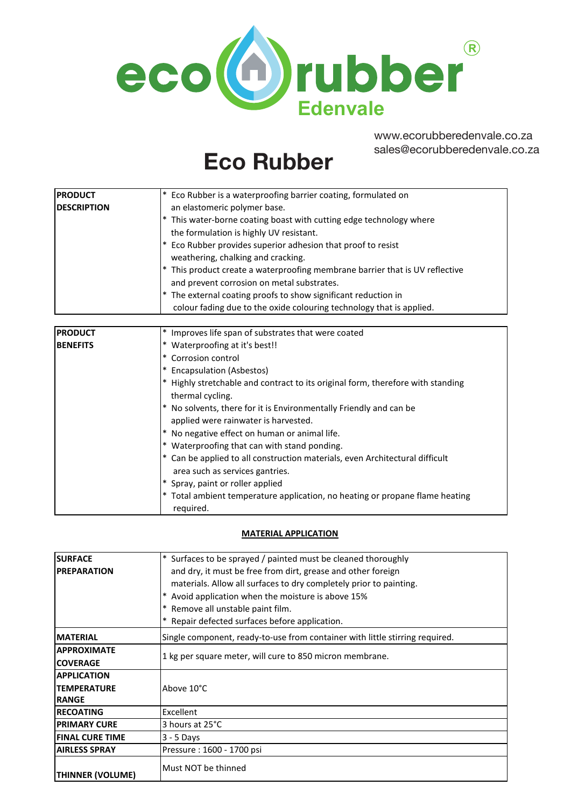

www.ecorubberedenvale.co.za sales@ecorubberedenvale.co.za

# **ECO RUBBER Eco Rubber**

| <b>PRODUCT</b>     | * Eco Rubber is a waterproofing barrier coating, formulated on               |
|--------------------|------------------------------------------------------------------------------|
| <b>DESCRIPTION</b> | an elastomeric polymer base.                                                 |
|                    | * This water-borne coating boast with cutting edge technology where          |
|                    | the formulation is highly UV resistant.                                      |
|                    | * Eco Rubber provides superior adhesion that proof to resist                 |
|                    | weathering, chalking and cracking.                                           |
|                    | * This product create a waterproofing membrane barrier that is UV reflective |
|                    | and prevent corrosion on metal substrates.                                   |
|                    | * The external coating proofs to show significant reduction in               |
|                    | colour fading due to the oxide colouring technology that is applied.         |

| <b>PRODUCT</b>  | Improves life span of substrates that were coated                                                 |
|-----------------|---------------------------------------------------------------------------------------------------|
| <b>BENEFITS</b> | Waterproofing at it's best!!                                                                      |
|                 | Corrosion control<br>$\ast$                                                                       |
|                 | <b>Encapsulation (Asbestos)</b>                                                                   |
|                 | Highly stretchable and contract to its original form, therefore with standing<br>thermal cycling. |
|                 | No solvents, there for it is Environmentally Friendly and can be                                  |
|                 | applied were rainwater is harvested.                                                              |
|                 | No negative effect on human or animal life.                                                       |
|                 | Waterproofing that can with stand ponding.                                                        |
|                 | Can be applied to all construction materials, even Architectural difficult                        |
|                 | area such as services gantries.                                                                   |
|                 | Spray, paint or roller applied                                                                    |
|                 | Total ambient temperature application, no heating or propane flame heating                        |
|                 | required.                                                                                         |

## **MATERIAL APPLICATION**

| <b>SURFACE</b>          | Surfaces to be sprayed / painted must be cleaned thoroughly                  |
|-------------------------|------------------------------------------------------------------------------|
| <b>IPREPARATION</b>     | and dry, it must be free from dirt, grease and other foreign                 |
|                         | materials. Allow all surfaces to dry completely prior to painting.           |
|                         | Avoid application when the moisture is above 15%                             |
|                         | Remove all unstable paint film.                                              |
|                         | Repair defected surfaces before application.                                 |
| <b>MATERIAL</b>         | Single component, ready-to-use from container with little stirring required. |
| <b>APPROXIMATE</b>      | 1 kg per square meter, will cure to 850 micron membrane.                     |
| <b>COVERAGE</b>         |                                                                              |
| <b>APPLICATION</b>      |                                                                              |
| <b>TEMPERATURE</b>      | Above 10°C                                                                   |
| <b>RANGE</b>            |                                                                              |
| <b>IRECOATING</b>       | Excellent                                                                    |
| <b>PRIMARY CURE</b>     | 3 hours at 25°C                                                              |
| <b>FINAL CURE TIME</b>  | $3 - 5$ Days                                                                 |
| <b>AIRLESS SPRAY</b>    | Pressure: 1600 - 1700 psi                                                    |
| <b>THINNER (VOLUME)</b> | Must NOT be thinned                                                          |